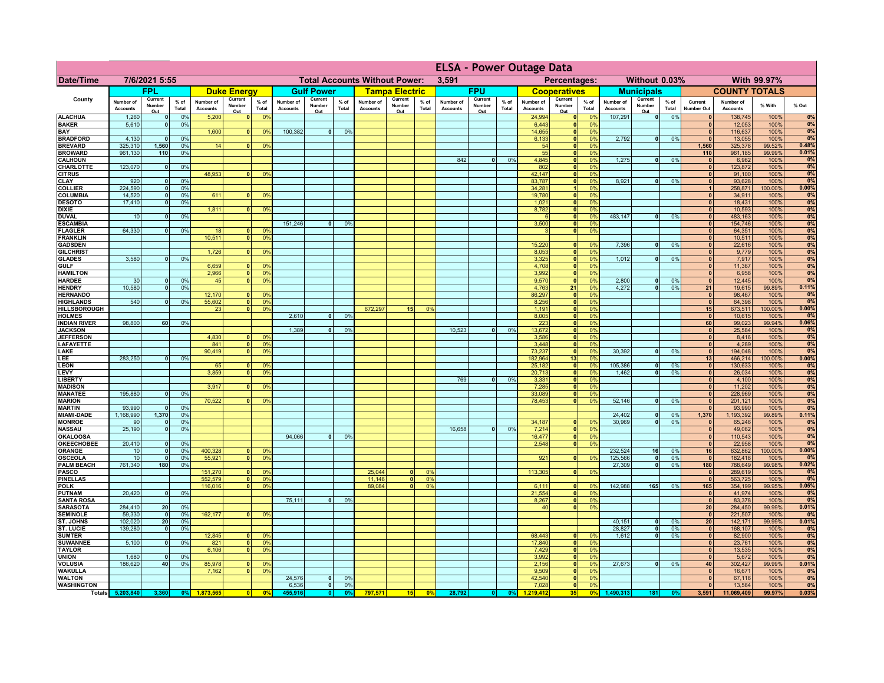|                                      |                              |                          |                 |                              |                          |                                  | <b>ELSA - Power Outage Data</b> |                          |                 |                                      |                          |                |                              |                          |               |                              |                           |                       |                              |                                   |                 |                                 |                              |                  |                |
|--------------------------------------|------------------------------|--------------------------|-----------------|------------------------------|--------------------------|----------------------------------|---------------------------------|--------------------------|-----------------|--------------------------------------|--------------------------|----------------|------------------------------|--------------------------|---------------|------------------------------|---------------------------|-----------------------|------------------------------|-----------------------------------|-----------------|---------------------------------|------------------------------|------------------|----------------|
| <b>Date/Time</b>                     | 7/6/2021 5:55                |                          |                 |                              |                          |                                  |                                 |                          |                 | <b>Total Accounts Without Power:</b> |                          |                | 3,591                        |                          |               |                              | Percentages:              |                       |                              | Without 0.03%                     |                 |                                 |                              | With 99.97%      |                |
|                                      |                              | FPL                      |                 |                              | <b>Duke Energy</b>       |                                  |                                 | <b>Gulf Power</b>        |                 |                                      | <b>Tampa Electric</b>    |                |                              | <b>FPU</b>               |               |                              | <b>Cooperatives</b>       |                       |                              | <b>Municipals</b>                 |                 |                                 | <b>COUNTY TOTALS</b>         |                  |                |
| County                               | Number of<br><b>Accounts</b> | Current<br>Number<br>Out | $%$ of<br>Total | Number of<br><b>Accounts</b> | Current<br>Number<br>Out | $%$ of<br>Total                  | Number of<br><b>Accounts</b>    | Current<br>Number<br>Out | $%$ of<br>Total | Number of<br><b>Accounts</b>         | Current<br>Number<br>Out | % of<br>Total  | Number of<br><b>Accounts</b> | Current<br>Number<br>Out | % of<br>Total | Number of<br><b>Accounts</b> | Current<br>Number<br>Out  | $%$ of<br>Total       | Number of<br><b>Accounts</b> | Current<br>Number<br>Out          | $%$ of<br>Total | Current<br>Number Out           | Number of<br><b>Accounts</b> | % With           | % Out          |
| <b>ALACHUA</b><br><b>BAKER</b>       | 1,260                        | $\mathbf{0}$<br>$\Omega$ | 0%<br>0%        | 5,200                        | 0                        | 0 <sup>9</sup>                   |                                 |                          |                 |                                      |                          |                |                              |                          |               | 24,994                       | 0                         | 0%<br>0 <sup>9</sup>  | 107,291                      | $\overline{\bullet}$              | 0%              | 0 <br>$\mathbf{0}$              | 138,745                      | 100%<br>100%     | 0%<br>0%       |
| BAY                                  | 5,610                        |                          |                 | 1,600                        | $\mathbf{0}$             | 0 <sup>9</sup>                   | 100,382                         | $\overline{0}$           | 0%              |                                      |                          |                |                              |                          |               | 6,443<br>14,655              | 0 <br> 0                  | 0%                    |                              |                                   |                 | $\mathbf{0}$                    | 12,053<br>116,637            | 100%             | 0%             |
| <b>BRADFORD</b>                      | 4,130                        | $\mathbf{0}$             | 0%              |                              |                          |                                  |                                 |                          |                 |                                      |                          |                |                              |                          |               | 6,133                        | $\mathbf{0}$              | 0%                    | 2,792                        | 0                                 | 0%              | $\Omega$                        | 13,055                       | 100%             | 0%             |
| <b>BREVARD</b><br><b>BROWARD</b>     | 325,310<br>961,130           | 1,560<br>110             | 0%<br>0%        | 14                           | 0                        | 0%                               |                                 |                          |                 |                                      |                          |                |                              |                          |               | 54                           | 0 <br> 0                  | 0%<br>0%              |                              |                                   |                 | 1,560<br>110                    | 325,378                      | 99.52%<br>99.99% | 0.48%<br>0.01% |
| <b>CALHOUN</b>                       |                              |                          |                 |                              |                          |                                  |                                 |                          |                 |                                      |                          |                | 842                          | $\mathbf{0}$             | 0%            | 55<br>4,845                  | 0                         | 0%                    | 1,275                        | -ol                               | 0%              | 0                               | 961,185<br>6,962             | 100%             | 0%             |
| CHARLOTTE                            | 123,070                      | 0                        | 0%              |                              |                          |                                  |                                 |                          |                 |                                      |                          |                |                              |                          |               | 802                          | 0                         | 0%                    |                              |                                   |                 | 0                               | 123,872                      | 100%             | 0%             |
| <b>CITRUS</b><br><b>CLAY</b>         | 920                          |                          | 0%              | 48,953                       | $\mathbf{0}$             | 0 <sup>9</sup>                   |                                 |                          |                 |                                      |                          |                |                              |                          |               | 42,147<br>83,787             | 0 <br>$\mathbf{0}$        | 0%<br>0%              | 8,921                        | -ol                               | 0%              | $\mathbf{0}$<br>$\mathbf{0}$    | 91,100<br>93,628             | 100%<br>100%     | 0%<br>0%       |
| <b>COLLIER</b>                       | 224,590                      |                          | 0%              |                              |                          |                                  |                                 |                          |                 |                                      |                          |                |                              |                          |               | 34,281                       |                           | 0%                    |                              |                                   |                 |                                 | 258,871                      | 100.00%          | 0.00%          |
| <b>COLUMBIA</b>                      | 14,520                       |                          | 0%              | 611                          |                          | 0 <sup>9</sup>                   |                                 |                          |                 |                                      |                          |                |                              |                          |               | 19,780                       | $\mathbf{0}$              | 0%                    |                              |                                   |                 | $\bf{0}$                        | 34,911                       | 100%             | 0%             |
| <b>DESOTO</b><br><b>DIXIE</b>        | 17,410                       | $\Omega$                 | 0%              | 1,811                        | $\mathbf{0}$             | 0 <sup>9</sup>                   |                                 |                          |                 |                                      |                          |                |                              |                          |               | 1,021<br>8,782               | $\pmb{0}$<br>$\mathbf{0}$ | 0%<br>0%              |                              |                                   |                 | $\Omega$<br>$\bf{0}$            | 18,431<br>10,593             | 100%<br>100%     | 0%<br>0%       |
| <b>DUVAL</b>                         | 10                           | $\mathbf{0}$             | 0%              |                              |                          |                                  |                                 |                          |                 |                                      |                          |                |                              |                          |               |                              | 0                         | 0%                    | 483,147                      | -ol                               | 0%              | $\mathbf{0}$                    | 483,163                      | 100%             | 0%             |
| <b>ESCAMBIA</b>                      |                              |                          |                 |                              |                          |                                  | 151,246                         | $\mathbf{0}$             | 0%              |                                      |                          |                |                              |                          |               | 3,500                        | 0                         | 0%                    |                              |                                   |                 | $\mathbf{0}$                    | 154,746                      | 100%             | 0%             |
| <b>FLAGLER</b><br><b>FRANKLIN</b>    | 64,330                       | $\mathbf{0}$             | 0%              | 18<br>10,511                 | $\mathbf{0}$<br> 0       | 0 <sup>9</sup><br>0 <sup>9</sup> |                                 |                          |                 |                                      |                          |                |                              |                          |               | $\mathbf{B}$                 | 0                         | 0%                    |                              |                                   |                 | $\mathbf{0}$<br>$\mathbf{0}$    | 64,351<br>10,511             | 100%<br>100%     | 0%<br>0%       |
| <b>GADSDEN</b>                       |                              |                          |                 |                              |                          |                                  |                                 |                          |                 |                                      |                          |                |                              |                          |               | 15,220                       | 0                         | 0%                    | 7,396                        | -ol                               | 0%              | 0                               | 22,616                       | 100%             | 0%             |
| <b>GILCHRIST</b>                     |                              |                          |                 | 1.726                        | $\overline{0}$           | 0 <sup>9</sup>                   |                                 |                          |                 |                                      |                          |                |                              |                          |               | 8.053                        | $\overline{\bullet}$      | 0%                    |                              |                                   |                 | $\overline{0}$                  | 9,779                        | 100%             | 0%             |
| <b>GLADES</b><br><b>GULF</b>         | 3,580                        | $\Omega$                 | 0%              | 6,659                        | 0                        | 0 <sup>9</sup>                   |                                 |                          |                 |                                      |                          |                |                              |                          |               | 3,325<br>4,708               | 0 <br> 0                  | 0%<br>0%              | 1,012                        | $\overline{\mathbf{0}}$           | 0%              | 0 <br> 0                        | 7,917<br>11,367              | 100%<br>100%     | 0%<br>0%       |
| <b>HAMILTON</b>                      |                              |                          |                 | 2,966                        | 0                        | 0 <sup>9</sup>                   |                                 |                          |                 |                                      |                          |                |                              |                          |               | 3,992                        | 0                         | 0%                    |                              |                                   |                 | 0                               | 6,958                        | 100%             | 0%             |
| <b>HARDEE</b>                        | 30                           | 0                        | 0%              | 45                           | $\overline{\mathbf{0}}$  | 0%                               |                                 |                          |                 |                                      |                          |                |                              |                          |               | 9,570                        | 0                         | 0%                    | 2,800                        | $\mathbf{0}$                      | 0%              | 0                               | 12,445                       | 100%             | 0%             |
| <b>HENDRY</b><br><b>HERNANDO</b>     | 10.580                       | $\overline{0}$           | 0%              | 12,170                       | $\mathbf{0}$             | 0 <sup>9</sup>                   |                                 |                          |                 |                                      |                          |                |                              |                          |               | 4,763<br>86,297              | 21<br> 0                  | 0%<br>0%              | 4.272                        | $\overline{0}$                    | 0%              | 21<br> 0                        | 19,615<br>98,467             | 99.89%<br>100%   | 0.11%<br>0%    |
| <b>HIGHLANDS</b>                     | 540                          | $\Omega$                 | 0 <sup>9</sup>  | 55,602                       | $\overline{\mathbf{0}}$  | 0 <sup>9</sup>                   |                                 |                          |                 |                                      |                          |                |                              |                          |               | 8,256                        | 0                         | 0%                    |                              |                                   |                 | 0                               | 64,398                       | 100%             | 0%             |
| <b>HILLSBOROUGH</b>                  |                              |                          |                 | 23                           | $\mathbf{0}$             | 0 <sup>9</sup>                   |                                 |                          |                 | 672,297                              | 15 <sup>1</sup>          | 0 <sup>9</sup> |                              |                          |               | 1,191                        | 0                         | 0%                    |                              |                                   |                 | 15                              | 673,511                      | 100.00%          | 0.00%          |
| <b>HOLMES</b><br><b>INDIAN RIVER</b> | 98,800                       | 60                       | 0%              |                              |                          |                                  | 2,610                           |                          | 0%              |                                      |                          |                |                              |                          |               | 8,005<br>223                 | 0 <br> 0                  | 0%<br>0%              |                              |                                   |                 | $\mathbf{0}$<br>60 <sub>1</sub> | 10,615<br>99,023             | 100%<br>99.94%   | 0%<br>0.06%    |
| <b>JACKSON</b>                       |                              |                          |                 |                              |                          |                                  | 1,389                           |                          | 0%              |                                      |                          |                | 10.523                       | 0                        | 0%            | 13,672                       | 0                         | 0%                    |                              |                                   |                 | 0                               | 25,584                       | 100%             | 0%             |
| <b>JEFFERSON</b>                     |                              |                          |                 | 4,830                        | n١                       | 0 <sup>9</sup>                   |                                 |                          |                 |                                      |                          |                |                              |                          |               | 3,586                        | 0                         | 0%                    |                              |                                   |                 | 0                               | 8,416                        | 100%             | 0%             |
| <b>LAFAYETTE</b><br>LAKE             |                              |                          |                 | 841<br>90,419                | οI<br>$\mathbf{0}$       | 0 <sup>9</sup><br>0 <sup>9</sup> |                                 |                          |                 |                                      |                          |                |                              |                          |               | 3,448<br>73,237              | 0 <br> 0                  | 0%<br>0%              | 30,392                       | $\overline{0}$                    | 0%              | 0 <br> 0                        | 4,289<br>194,048             | 100%<br>100%     | 0%<br>0%       |
| LEE                                  | 283,250                      | $\Omega$                 | 0%              |                              |                          |                                  |                                 |                          |                 |                                      |                          |                |                              |                          |               | 182,964                      | 13                        | 0%                    |                              |                                   |                 | 13                              | 466,214                      | 100.00%          | 0.00%          |
| <b>LEON</b>                          |                              |                          |                 | 65                           | $\mathbf{0}$             | 0 <sup>9</sup>                   |                                 |                          |                 |                                      |                          |                |                              |                          |               | 25,182                       | 0                         | 0%                    | 105,386                      | $\overline{0}$                    | 0%              | 0                               | 130,633                      | 100%             | 0%             |
| LEVY<br><b>LIBERTY</b>               |                              |                          |                 | 3,859                        | $\overline{0}$           | 0 <sup>9</sup>                   |                                 |                          |                 |                                      |                          |                | 769                          | 0                        | 0%            | 20,713<br>3,331              | 0 <br> 0                  | 0%<br>0%              | 1,462                        | 0                                 | 0%              | 0 <br> 0                        | 26,034<br>4,100              | 100%<br>100%     | 0%<br>0%       |
| <b>MADISON</b>                       |                              |                          |                 | 3,917                        | $\Omega$                 | 0 <sup>9</sup>                   |                                 |                          |                 |                                      |                          |                |                              |                          |               | 7,285                        | 0                         | 0%                    |                              |                                   |                 | 0                               | 11,202                       | 100%             | 0%             |
| <b>MANATEE</b>                       | 195,880                      | $\mathbf{0}$             | 0%              |                              |                          |                                  |                                 |                          |                 |                                      |                          |                |                              |                          |               | 33,089                       | 0                         | 0%                    |                              |                                   |                 | 0                               | 228,969                      | 100%             | 0%             |
| <b>MARION</b><br><b>MARTIN</b>       | 93,990                       | $\Omega$                 | 0%              | 70,522                       | $\Omega$                 | 0%                               |                                 |                          |                 |                                      |                          |                |                              |                          |               | 78,453                       | 0                         | 0%                    | 52,146                       | 0                                 | 0%              | 0 <br> 0                        | 201,121<br>93,990            | 100%<br>100%     | 0%<br>0%       |
| <b>MIAMI-DADE</b>                    | 1,168,990                    | 1,370                    | 0%              |                              |                          |                                  |                                 |                          |                 |                                      |                          |                |                              |                          |               |                              |                           |                       | 24,402                       | 0                                 | 0%              | 1,370                           | 1,193,392                    | 99.89%           | 0.11%          |
| <b>MONROE</b>                        | 90                           | $\mathbf{0}$             | 0%              |                              |                          |                                  |                                 |                          |                 |                                      |                          |                |                              |                          |               | 34,187                       | 0                         | $\Omega$ <sup>9</sup> | 30,969                       | - O I                             | 0%              | 0                               | 65,246                       | 100%             | 0%             |
| <b>NASSAU</b><br><b>OKALOOSA</b>     | 25,190                       | 0                        | 0%              |                              |                          |                                  | 94,066                          | 0                        | 0%              |                                      |                          |                | 16,658                       | 0                        | 0%            | 7,214<br>16,477              | 0 <br> 0                  | 0%<br>0%              |                              |                                   |                 | 0 <br> 0                        | 49,062<br>110,543            | 100%<br>100%     | 0%<br>0%       |
| <b>OKEECHOBEE</b>                    | 20,410                       | $\mathbf{0}$             | 0%              |                              |                          |                                  |                                 |                          |                 |                                      |                          |                |                              |                          |               | 2,548                        | 0                         | 0%                    |                              |                                   |                 | 0                               | 22,958                       | 100%             | 0%             |
| <b>ORANGE</b>                        | 10                           | 0                        | 0%              | 400,328                      | $\mathbf{0}$             | 0 <sup>9</sup>                   |                                 |                          |                 |                                      |                          |                |                              |                          |               |                              |                           |                       | 232,524                      | 16                                | 0%              | 16                              | 632,862                      | 100.00%          | 0.00%          |
| <b>OSCEOLA</b><br><b>PALM BEACH</b>  | 10<br>761,340                | - O I<br>180             | 0%<br>0%        | 55,921                       | 0                        | 0 <sup>9</sup>                   |                                 |                          |                 |                                      |                          |                |                              |                          |               | 921                          | 0                         | 0%                    | 125,566<br>27,309            | $\mathbf{0}$<br>$\lceil 0 \rceil$ | 0%<br>0%        | 0 <br>180                       | 182,418<br>788,649           | 100%<br>99.98%   | 0%<br>0.02%    |
| <b>PASCO</b>                         |                              |                          |                 | 151,270                      | 0                        | 0 <sup>9</sup>                   |                                 |                          |                 | 25,044                               | $\mathbf{0}$             | 0 <sup>9</sup> |                              |                          |               | 113,305                      | 0                         | 0%                    |                              |                                   |                 | 0                               | 289,619                      | 100%             | 0%             |
| <b>PINELLAS</b>                      |                              |                          |                 | 552,579                      | 0                        | 0 <sup>9</sup>                   |                                 |                          |                 | 11,146                               | $\overline{0}$           | 0 <sup>9</sup> |                              |                          |               |                              |                           |                       |                              |                                   |                 | 0                               | 563,725                      | 100%             | 0%             |
| <b>POLK</b><br><b>PUTNAM</b>         | 20,420                       | 0                        | 0%              | 116,016                      | $\mathbf{0}$             | 0%                               |                                 |                          |                 | 89,084                               | $\Omega$                 | 0 <sup>9</sup> |                              |                          |               | 6,111<br>21,554              | 0 <br> 0                  | 0 <sup>9</sup><br>0%  | 142,988                      | 165                               | 0%              | 165<br> 0                       | 354,199<br>41,974            | 99.95%<br>100%   | 0.05%<br>0%    |
| <b>SANTA ROSA</b>                    |                              |                          |                 |                              |                          |                                  | 75,111                          | $\mathbf{0}$             | 0%              |                                      |                          |                |                              |                          |               | 8,267                        | 0                         | 0%                    |                              |                                   |                 | 0                               | 83,378                       | 100%             | 0%             |
| <b>SARASOTA</b>                      | 284,410                      | 20                       | 0%              |                              |                          |                                  |                                 |                          |                 |                                      |                          |                |                              |                          |               | 40                           | 0                         | 0%                    |                              |                                   |                 | 20                              | 284,450                      | 99.99%           | 0.01%          |
| <b>SEMINOLE</b><br>ST. JOHNS         | 59,330<br>102,020            | ol<br>20                 | 0%<br>0%        | 162,177                      | $\mathbf{0}$             | 0 <sup>9</sup>                   |                                 |                          |                 |                                      |                          |                |                              |                          |               |                              |                           |                       | 40,151                       | 0                                 | 0%              | 0 <br>20                        | 221,507<br>142,171           | 100%<br>99.99%   | 0%<br>0.01%    |
| <b>ST. LUCIE</b>                     | 139,280                      | $\mathbf{0}$             | 0%              |                              |                          |                                  |                                 |                          |                 |                                      |                          |                |                              |                          |               |                              |                           |                       | 28,827                       | 0                                 | 0%              | 0                               | 168,107                      | 100%             | 0%             |
| <b>SUMTER</b>                        |                              |                          |                 | 12,845                       |                          | 0 <sup>6</sup>                   |                                 |                          |                 |                                      |                          |                |                              |                          |               | 68,443                       | $\mathbf{0}$              | 0 <sup>9</sup>        | 1,612                        | -ol                               | 0%              | 0                               | 82,900                       | 100%             | 0%             |
| <b>SUWANNEE</b><br><b>TAYLOR</b>     | 5,100                        | $\mathbf{0}$             | 0%              | 821<br>6,106                 | $\mathbf{0}$<br>n l      | 0 <sup>9</sup><br>0 <sup>9</sup> |                                 |                          |                 |                                      |                          |                |                              |                          |               | 17,840<br>7,429              | 0 <br> 0                  | 0%<br>0%              |                              |                                   |                 | $\mathbf{0}$<br>$\mathbf{0}$    | 23,761<br>13,535             | 100%<br>100%     | 0%<br>0%       |
| <b>UNION</b>                         | 1,680                        | $\mathbf{0}$             | 0%              |                              |                          |                                  |                                 |                          |                 |                                      |                          |                |                              |                          |               | 3,992                        | 0                         | 0%                    |                              |                                   |                 | $\mathbf{0}$                    | 5,672                        | 100%             | 0%             |
| <b>VOLUSIA</b>                       | 186,620                      | 40                       | 0%              | 85,978                       | $\mathbf{0}$             | 0 <sup>9</sup>                   |                                 |                          |                 |                                      |                          |                |                              |                          |               | 2,156                        | 0                         | 0%                    | 27,673                       | $\overline{\bullet}$              | 0%              | 40                              | 302,427                      | 99.99%           | 0.01%          |
| <b>WAKULLA</b><br><b>WALTON</b>      |                              |                          |                 | 7,162                        | $\Omega$                 | 0 <sup>9</sup>                   | 24,576                          | 0                        | 0%              |                                      |                          |                |                              |                          |               | 9,509<br>42,540              | 0 <br> 0                  | 0%<br>0%              |                              |                                   |                 | $\mathbf{0}$<br>$\mathbf{0}$    | 16,671<br>67,116             | 100%<br>100%     | 0%<br>0%       |
| <b>WASHINGTON</b>                    |                              |                          |                 |                              |                          |                                  | 6,536                           | $\overline{\mathbf{0}}$  | 0%              |                                      |                          |                |                              |                          |               | 7,028                        | $\overline{\mathbf{0}}$   | 0%                    |                              |                                   |                 | 0                               | 13,564                       | 100%             | 0%             |
|                                      | Totals 5,203,840             | 3,360                    | 0%              |                              | $\overline{0}$           | 0 <sup>o</sup>                   | 455.916                         | 0                        | 0 <sup>9</sup>  | 797,571                              | 15                       | 0 <sup>9</sup> | 28,792                       |                          | 0%            | 1.219.412                    | 35                        | 0%                    | 1,490,313                    | 181                               |                 | 3,591                           | 11,069,409                   | 99.97%           | 0.03%          |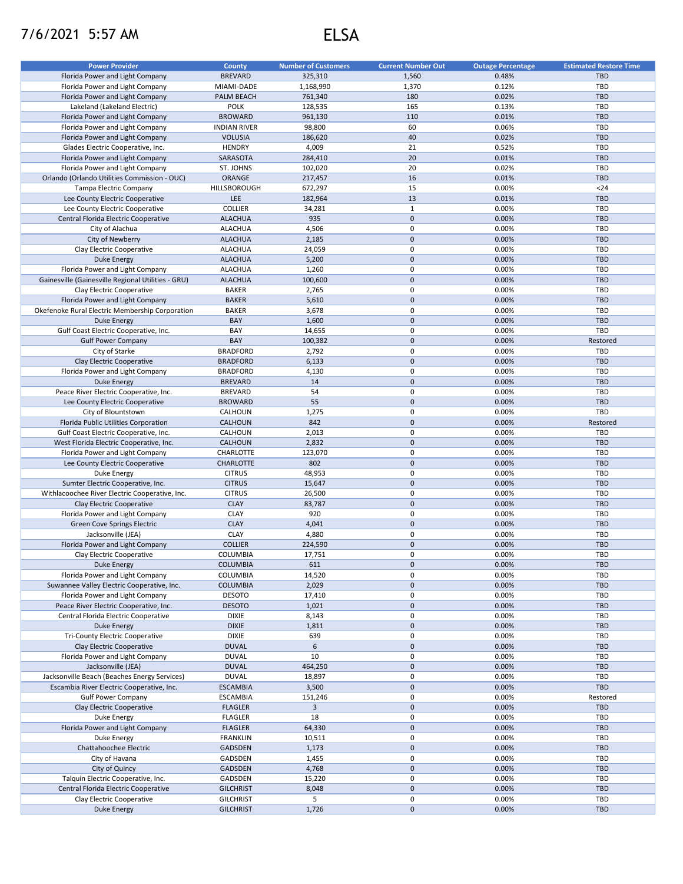## 7/6/2021 5:57 AM ELSA

| <b>Power Provider</b>                                                                     | <b>County</b>                  | <b>Number of Customers</b> | <b>Current Number Out</b>        | <b>Outage Percentage</b> | <b>Estimated Restore Time</b> |
|-------------------------------------------------------------------------------------------|--------------------------------|----------------------------|----------------------------------|--------------------------|-------------------------------|
| Florida Power and Light Company                                                           | <b>BREVARD</b>                 | 325,310                    | 1,560                            | 0.48%                    | <b>TBD</b>                    |
| Florida Power and Light Company                                                           | MIAMI-DADE                     | 1,168,990                  | 1,370                            | 0.12%                    | TBD                           |
| Florida Power and Light Company                                                           | PALM BEACH                     | 761,340                    | 180                              | 0.02%                    | <b>TBD</b>                    |
| Lakeland (Lakeland Electric)                                                              | POLK                           | 128,535                    | 165                              | 0.13%                    | TBD                           |
| Florida Power and Light Company                                                           | <b>BROWARD</b>                 | 961,130                    | 110                              | 0.01%                    | <b>TBD</b>                    |
| Florida Power and Light Company                                                           | <b>INDIAN RIVER</b>            | 98,800                     | 60                               | 0.06%                    | TBD                           |
| Florida Power and Light Company                                                           | <b>VOLUSIA</b>                 | 186,620                    | 40                               | 0.02%                    | <b>TBD</b>                    |
| Glades Electric Cooperative, Inc.                                                         | <b>HENDRY</b>                  | 4,009                      | 21                               | 0.52%                    | TBD                           |
| Florida Power and Light Company                                                           | SARASOTA                       | 284,410                    | 20                               | 0.01%                    | <b>TBD</b>                    |
| Florida Power and Light Company                                                           | ST. JOHNS                      | 102,020                    | 20                               | 0.02%                    | TBD                           |
| Orlando (Orlando Utilities Commission - OUC)                                              | ORANGE                         | 217,457                    | 16                               | 0.01%                    | <b>TBD</b>                    |
| <b>Tampa Electric Company</b>                                                             | HILLSBOROUGH                   | 672,297                    | 15                               | 0.00%                    | $24$                          |
| Lee County Electric Cooperative                                                           | <b>LEE</b>                     | 182,964                    | 13                               | 0.01%                    | <b>TBD</b>                    |
| Lee County Electric Cooperative                                                           | COLLIER                        | 34,281                     | $\mathbf{1}$                     | 0.00%                    | TBD                           |
| Central Florida Electric Cooperative                                                      | <b>ALACHUA</b>                 | 935                        | $\pmb{0}$                        | 0.00%                    | <b>TBD</b>                    |
| City of Alachua                                                                           | <b>ALACHUA</b>                 | 4,506                      | 0                                | 0.00%                    | TBD                           |
| City of Newberry                                                                          | <b>ALACHUA</b>                 | 2,185                      | $\mathsf 0$                      | 0.00%                    | <b>TBD</b>                    |
| Clay Electric Cooperative                                                                 | <b>ALACHUA</b>                 | 24,059                     | 0                                | 0.00%                    | TBD                           |
| <b>Duke Energy</b>                                                                        | <b>ALACHUA</b>                 | 5,200                      | $\mathsf 0$                      | 0.00%                    | <b>TBD</b>                    |
| Florida Power and Light Company                                                           | <b>ALACHUA</b>                 | 1,260                      | 0                                | 0.00%                    | TBD                           |
| Gainesville (Gainesville Regional Utilities - GRU)                                        | <b>ALACHUA</b>                 | 100,600                    | $\pmb{0}$                        | 0.00%                    | <b>TBD</b>                    |
| Clay Electric Cooperative                                                                 | <b>BAKER</b>                   | 2,765                      | 0                                | 0.00%                    | TBD                           |
| Florida Power and Light Company                                                           | <b>BAKER</b>                   | 5,610                      | $\pmb{0}$                        | 0.00%                    | <b>TBD</b>                    |
| Okefenoke Rural Electric Membership Corporation                                           | <b>BAKER</b>                   | 3,678                      | 0                                | 0.00%                    | TBD                           |
| Duke Energy                                                                               | BAY                            | 1,600                      | $\pmb{0}$                        | 0.00%                    | <b>TBD</b>                    |
| Gulf Coast Electric Cooperative, Inc.                                                     | BAY                            | 14,655                     | 0                                | 0.00%                    | TBD                           |
| <b>Gulf Power Company</b>                                                                 | BAY                            | 100,382                    | $\pmb{0}$                        | 0.00%                    | Restored                      |
| City of Starke                                                                            | <b>BRADFORD</b>                | 2,792                      | 0                                | 0.00%                    | TBD                           |
| Clay Electric Cooperative                                                                 | <b>BRADFORD</b>                | 6,133                      | $\pmb{0}$                        | 0.00%                    | TBD                           |
| Florida Power and Light Company                                                           | <b>BRADFORD</b>                | 4,130                      | $\pmb{0}$                        | 0.00%                    | TBD                           |
| <b>Duke Energy</b>                                                                        | <b>BREVARD</b>                 | 14                         | $\pmb{0}$                        | 0.00%                    | <b>TBD</b>                    |
| Peace River Electric Cooperative, Inc.                                                    | <b>BREVARD</b>                 | 54                         | 0                                | 0.00%                    | TBD                           |
| Lee County Electric Cooperative                                                           | <b>BROWARD</b>                 | 55                         | $\pmb{0}$                        | 0.00%                    | <b>TBD</b>                    |
| City of Blountstown                                                                       | CALHOUN                        | 1,275                      | 0                                | 0.00%                    | TBD                           |
| Florida Public Utilities Corporation                                                      | CALHOUN                        | 842                        | $\mathbf 0$                      | 0.00%                    | Restored                      |
| Gulf Coast Electric Cooperative, Inc.                                                     | CALHOUN                        | 2,013                      | $\mathbf 0$                      | 0.00%                    | TBD                           |
|                                                                                           |                                |                            | $\pmb{0}$                        |                          | <b>TBD</b>                    |
| West Florida Electric Cooperative, Inc.                                                   | CALHOUN                        | 2,832                      | 0                                | 0.00%<br>0.00%           | TBD                           |
| Florida Power and Light Company                                                           | CHARLOTTE                      | 123,070                    | $\mathbf 0$                      |                          | <b>TBD</b>                    |
| Lee County Electric Cooperative                                                           | CHARLOTTE                      | 802                        | $\pmb{0}$                        | 0.00%<br>0.00%           | TBD                           |
| Duke Energy                                                                               | <b>CITRUS</b>                  | 48,953                     | $\pmb{0}$                        | 0.00%                    | <b>TBD</b>                    |
| Sumter Electric Cooperative, Inc.                                                         | <b>CITRUS</b><br><b>CITRUS</b> | 15,647                     | 0                                | 0.00%                    | TBD                           |
| Withlacoochee River Electric Cooperative, Inc.                                            | <b>CLAY</b>                    | 26,500                     | $\mathbf 0$                      | 0.00%                    | <b>TBD</b>                    |
| Clay Electric Cooperative<br>Florida Power and Light Company                              | <b>CLAY</b>                    | 83,787<br>920              | 0                                | 0.00%                    | TBD                           |
| <b>Green Cove Springs Electric</b>                                                        | <b>CLAY</b>                    | 4,041                      | $\mathbf 0$                      |                          | <b>TBD</b>                    |
| Jacksonville (JEA)                                                                        | <b>CLAY</b>                    | 4,880                      | 0                                | 0.00%<br>0.00%           | TBD                           |
| Florida Power and Light Company                                                           | <b>COLLIER</b>                 | 224,590                    | $\mathsf{O}\xspace$              | 0.00%                    | <b>TBD</b>                    |
| Clay Electric Cooperative                                                                 | COLUMBIA                       | 17,751                     | $\pmb{0}$                        | 0.00%                    | TBD                           |
|                                                                                           |                                |                            |                                  |                          |                               |
| <b>Duke Energy</b>                                                                        | <b>COLUMBIA</b>                | 611                        | $\mathsf{O}\xspace$<br>0         | 0.00%                    | <b>TBD</b><br>TBD             |
| Florida Power and Light Company                                                           | COLUMBIA                       | 14,520                     | $\mathbf 0$                      | 0.00%                    | <b>TBD</b>                    |
| Suwannee Valley Electric Cooperative, Inc.                                                | <b>COLUMBIA</b>                | 2,029                      |                                  | 0.00%                    |                               |
| Florida Power and Light Company<br>Peace River Electric Cooperative, Inc.                 | <b>DESOTO</b><br><b>DESOTO</b> | 17,410<br>1,021            | $\pmb{0}$<br>$\mathsf{O}\xspace$ | 0.00%<br>0.00%           | TBD<br><b>TBD</b>             |
| Central Florida Electric Cooperative                                                      | <b>DIXIE</b>                   | 8,143                      | $\pmb{0}$                        | 0.00%                    | TBD                           |
| Duke Energy                                                                               | <b>DIXIE</b>                   | 1,811                      | $\mathbf 0$                      | 0.00%                    | <b>TBD</b>                    |
| <b>Tri-County Electric Cooperative</b>                                                    | <b>DIXIE</b>                   | 639                        | 0                                | 0.00%                    | TBD                           |
| Clay Electric Cooperative                                                                 | <b>DUVAL</b>                   | 6                          | $\mathbf 0$                      | 0.00%                    | <b>TBD</b>                    |
| Florida Power and Light Company                                                           | <b>DUVAL</b>                   | 10                         | 0                                | 0.00%                    | TBD                           |
| Jacksonville (JEA)                                                                        | <b>DUVAL</b>                   | 464,250                    | $\mathsf{O}\xspace$              | 0.00%                    | <b>TBD</b>                    |
|                                                                                           | <b>DUVAL</b>                   | 18,897                     | 0                                | 0.00%                    | TBD                           |
| Jacksonville Beach (Beaches Energy Services)<br>Escambia River Electric Cooperative, Inc. | <b>ESCAMBIA</b>                | 3,500                      | $\pmb{0}$                        | 0.00%                    | <b>TBD</b>                    |
| <b>Gulf Power Company</b>                                                                 | <b>ESCAMBIA</b>                | 151,246                    | 0                                | 0.00%                    | Restored                      |
| Clay Electric Cooperative                                                                 | <b>FLAGLER</b>                 | $\mathbf{3}$               | $\pmb{0}$                        | 0.00%                    | <b>TBD</b>                    |
| Duke Energy                                                                               | <b>FLAGLER</b>                 | 18                         | 0                                | 0.00%                    | TBD                           |
| Florida Power and Light Company                                                           | <b>FLAGLER</b>                 | 64,330                     | $\mathbf 0$                      | 0.00%                    | <b>TBD</b>                    |
| Duke Energy                                                                               | <b>FRANKLIN</b>                | 10,511                     | $\pmb{0}$                        | 0.00%                    | TBD                           |
| Chattahoochee Electric                                                                    | GADSDEN                        | 1,173                      | $\mathbf 0$                      | 0.00%                    | TBD                           |
| City of Havana                                                                            | GADSDEN                        | 1,455                      | 0                                | 0.00%                    | TBD                           |
| City of Quincy                                                                            | GADSDEN                        | 4,768                      | $\mathbf 0$                      | 0.00%                    | <b>TBD</b>                    |
| Talquin Electric Cooperative, Inc.                                                        | GADSDEN                        | 15,220                     | 0                                | 0.00%                    | TBD                           |
| Central Florida Electric Cooperative                                                      | <b>GILCHRIST</b>               | 8,048                      | $\mathbf 0$                      | 0.00%                    | <b>TBD</b>                    |
| Clay Electric Cooperative                                                                 | <b>GILCHRIST</b>               | 5                          | 0                                | 0.00%                    | TBD                           |
|                                                                                           | <b>GILCHRIST</b>               | 1,726                      | $\mathsf{O}\xspace$              | 0.00%                    | TBD                           |
| <b>Duke Energy</b>                                                                        |                                |                            |                                  |                          |                               |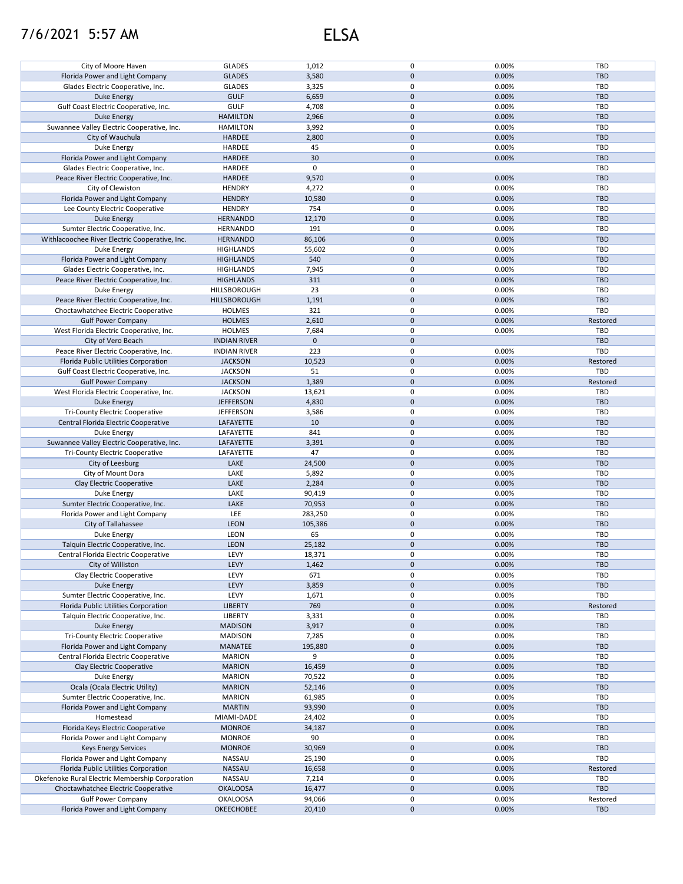## 7/6/2021 5:57 AM ELSA

| City of Moore Haven                             | <b>GLADES</b>       | 1,012       | 0            | 0.00% | TBD        |
|-------------------------------------------------|---------------------|-------------|--------------|-------|------------|
| Florida Power and Light Company                 | <b>GLADES</b>       | 3,580       | $\pmb{0}$    | 0.00% | <b>TBD</b> |
| Glades Electric Cooperative, Inc.               | <b>GLADES</b>       | 3,325       | 0            | 0.00% | TBD        |
|                                                 |                     |             |              |       |            |
| <b>Duke Energy</b>                              | <b>GULF</b>         | 6,659       | $\pmb{0}$    | 0.00% | <b>TBD</b> |
| Gulf Coast Electric Cooperative, Inc.           | <b>GULF</b>         | 4,708       | 0            | 0.00% | TBD        |
| Duke Energy                                     | <b>HAMILTON</b>     | 2,966       | $\pmb{0}$    | 0.00% | <b>TBD</b> |
| Suwannee Valley Electric Cooperative, Inc.      |                     |             | 0            |       |            |
|                                                 | <b>HAMILTON</b>     | 3,992       |              | 0.00% | TBD        |
| City of Wauchula                                | <b>HARDEE</b>       | 2,800       | $\pmb{0}$    | 0.00% | <b>TBD</b> |
| Duke Energy                                     | HARDEE              | 45          | 0            | 0.00% | TBD        |
| Florida Power and Light Company                 | <b>HARDEE</b>       | 30          | $\pmb{0}$    | 0.00% | <b>TBD</b> |
|                                                 |                     |             |              |       |            |
| Glades Electric Cooperative, Inc.               | HARDEE              | 0           | 0            |       | TBD        |
| Peace River Electric Cooperative, Inc.          | <b>HARDEE</b>       | 9,570       | $\pmb{0}$    | 0.00% | <b>TBD</b> |
| City of Clewiston                               | <b>HENDRY</b>       | 4,272       | 0            | 0.00% | TBD        |
|                                                 |                     |             |              |       |            |
| Florida Power and Light Company                 | <b>HENDRY</b>       | 10,580      | $\pmb{0}$    | 0.00% | <b>TBD</b> |
| Lee County Electric Cooperative                 | <b>HENDRY</b>       | 754         | 0            | 0.00% | TBD        |
| <b>Duke Energy</b>                              | <b>HERNANDO</b>     | 12,170      | $\mathbf 0$  | 0.00% | <b>TBD</b> |
|                                                 |                     |             |              |       |            |
| Sumter Electric Cooperative, Inc.               | HERNANDO            | 191         | 0            | 0.00% | TBD        |
| Withlacoochee River Electric Cooperative, Inc.  | <b>HERNANDO</b>     | 86,106      | $\mathbf 0$  | 0.00% | TBD        |
| Duke Energy                                     | <b>HIGHLANDS</b>    | 55,602      | 0            | 0.00% | TBD        |
|                                                 |                     |             | $\mathbf 0$  |       |            |
| Florida Power and Light Company                 | <b>HIGHLANDS</b>    | 540         |              | 0.00% | <b>TBD</b> |
| Glades Electric Cooperative, Inc.               | <b>HIGHLANDS</b>    | 7,945       | 0            | 0.00% | TBD        |
| Peace River Electric Cooperative, Inc.          | <b>HIGHLANDS</b>    | 311         | $\mathbf 0$  | 0.00% | <b>TBD</b> |
|                                                 |                     | 23          | 0            | 0.00% | TBD        |
| Duke Energy                                     | HILLSBOROUGH        |             |              |       |            |
| Peace River Electric Cooperative, Inc.          | HILLSBOROUGH        | 1,191       | $\mathbf 0$  | 0.00% | <b>TBD</b> |
| Choctawhatchee Electric Cooperative             | <b>HOLMES</b>       | 321         | 0            | 0.00% | TBD        |
| <b>Gulf Power Company</b>                       |                     |             | $\pmb{0}$    | 0.00% |            |
|                                                 | <b>HOLMES</b>       | 2,610       |              |       | Restored   |
| West Florida Electric Cooperative, Inc.         | <b>HOLMES</b>       | 7,684       | 0            | 0.00% | TBD        |
| City of Vero Beach                              | <b>INDIAN RIVER</b> | $\mathbf 0$ | $\pmb{0}$    |       | <b>TBD</b> |
|                                                 |                     | 223         | 0            |       | TBD        |
| Peace River Electric Cooperative, Inc.          | <b>INDIAN RIVER</b> |             |              | 0.00% |            |
| Florida Public Utilities Corporation            | <b>JACKSON</b>      | 10,523      | $\pmb{0}$    | 0.00% | Restored   |
| Gulf Coast Electric Cooperative, Inc.           | <b>JACKSON</b>      | 51          | 0            | 0.00% | TBD        |
| <b>Gulf Power Company</b>                       | <b>JACKSON</b>      | 1,389       | $\mathbf 0$  | 0.00% | Restored   |
|                                                 |                     |             |              |       |            |
| West Florida Electric Cooperative, Inc.         | <b>JACKSON</b>      | 13,621      | 0            | 0.00% | TBD        |
| <b>Duke Energy</b>                              | <b>JEFFERSON</b>    | 4,830       | $\pmb{0}$    | 0.00% | <b>TBD</b> |
| <b>Tri-County Electric Cooperative</b>          | <b>JEFFERSON</b>    | 3,586       | 0            | 0.00% | TBD        |
|                                                 |                     |             |              |       |            |
| Central Florida Electric Cooperative            | LAFAYETTE           | 10          | $\pmb{0}$    | 0.00% | <b>TBD</b> |
| Duke Energy                                     | LAFAYETTE           | 841         | $\pmb{0}$    | 0.00% | TBD        |
| Suwannee Valley Electric Cooperative, Inc.      | LAFAYETTE           | 3,391       | $\pmb{0}$    | 0.00% | <b>TBD</b> |
|                                                 |                     |             |              |       |            |
| <b>Tri-County Electric Cooperative</b>          | LAFAYETTE           | 47          | $\pmb{0}$    | 0.00% | TBD        |
| City of Leesburg                                | LAKE                | 24,500      | $\mathbf 0$  | 0.00% | <b>TBD</b> |
| City of Mount Dora                              | LAKE                | 5,892       | 0            | 0.00% | TBD        |
|                                                 | LAKE                | 2,284       | $\mathbf 0$  | 0.00% | <b>TBD</b> |
| Clay Electric Cooperative                       |                     |             |              |       |            |
| Duke Energy                                     | LAKE                | 90,419      | 0            | 0.00% | TBD        |
| Sumter Electric Cooperative, Inc.               | LAKE                | 70,953      | $\mathbf 0$  | 0.00% | <b>TBD</b> |
| Florida Power and Light Company                 | LEE                 | 283,250     | 0            | 0.00% | TBD        |
|                                                 |                     |             |              |       |            |
| City of Tallahassee                             | <b>LEON</b>         | 105,386     | $\mathbf{0}$ | 0.00% | <b>TBD</b> |
| Duke Energy                                     | <b>LEON</b>         | 65          | 0            | 0.00% | TBD        |
| Talquin Electric Cooperative, Inc.              | <b>LEON</b>         | 25,182      | $\mathbf 0$  | 0.00% | <b>TBD</b> |
|                                                 |                     |             |              |       |            |
| Central Florida Electric Cooperative            | LEVY                | 18,371      | 0            | 0.00% | TBD        |
| City of Williston                               | LEVY                | 1,462       | $\pmb{0}$    | 0.00% | <b>TBD</b> |
| Clay Electric Cooperative                       | LEVY                | 671         | 0            | 0.00% | TBD        |
|                                                 |                     |             |              |       |            |
| <b>Duke Energy</b>                              | LEVY                | 3,859       | 0            | 0.00% | <b>TBD</b> |
| Sumter Electric Cooperative, Inc.               | LEVY                | 1,671       | 0            | 0.00% | TBD        |
| Florida Public Utilities Corporation            | <b>LIBERTY</b>      | 769         | $\mathbf 0$  | 0.00% | Restored   |
|                                                 |                     |             |              |       |            |
| Talquin Electric Cooperative, Inc.              | LIBERTY             | 3,331       | 0            | 0.00% | TBD        |
| Duke Energy                                     | <b>MADISON</b>      | 3,917       | $\mathbf 0$  | 0.00% | <b>TBD</b> |
| <b>Tri-County Electric Cooperative</b>          | <b>MADISON</b>      | 7,285       | 0            | 0.00% | TBD        |
| Florida Power and Light Company                 | <b>MANATEE</b>      | 195,880     | 0            | 0.00% | <b>TBD</b> |
|                                                 |                     |             |              |       |            |
| Central Florida Electric Cooperative            | <b>MARION</b>       | 9           | 0            | 0.00% | TBD        |
| Clay Electric Cooperative                       | <b>MARION</b>       | 16,459      | $\pmb{0}$    | 0.00% | <b>TBD</b> |
| Duke Energy                                     | <b>MARION</b>       | 70,522      | 0            | 0.00% | TBD        |
|                                                 |                     |             |              |       |            |
| Ocala (Ocala Electric Utility)                  | <b>MARION</b>       | 52,146      | $\mathbf 0$  | 0.00% | <b>TBD</b> |
| Sumter Electric Cooperative, Inc.               | <b>MARION</b>       | 61,985      | 0            | 0.00% | TBD        |
| Florida Power and Light Company                 | <b>MARTIN</b>       | 93,990      | 0            | 0.00% | <b>TBD</b> |
|                                                 |                     |             |              |       |            |
| Homestead                                       | MIAMI-DADE          | 24,402      | 0            | 0.00% | TBD        |
| Florida Keys Electric Cooperative               | <b>MONROE</b>       | 34,187      | 0            | 0.00% | <b>TBD</b> |
| Florida Power and Light Company                 | <b>MONROE</b>       | 90          | 0            | 0.00% | TBD        |
|                                                 |                     |             |              |       |            |
| <b>Keys Energy Services</b>                     | <b>MONROE</b>       | 30,969      | 0            | 0.00% | TBD        |
| Florida Power and Light Company                 |                     |             | 0            | 0.00% | TBD        |
|                                                 | NASSAU              | 25,190      |              |       |            |
|                                                 |                     |             |              |       |            |
| Florida Public Utilities Corporation            | NASSAU              | 16,658      | 0            | 0.00% | Restored   |
| Okefenoke Rural Electric Membership Corporation | NASSAU              | 7,214       | 0            | 0.00% | TBD        |
| Choctawhatchee Electric Cooperative             | <b>OKALOOSA</b>     | 16,477      | $\mathbf 0$  | 0.00% | <b>TBD</b> |
|                                                 |                     |             |              |       |            |
| <b>Gulf Power Company</b>                       | <b>OKALOOSA</b>     | 94,066      | 0            | 0.00% | Restored   |
| Florida Power and Light Company                 | <b>OKEECHOBEE</b>   | 20,410      | 0            | 0.00% | TBD        |